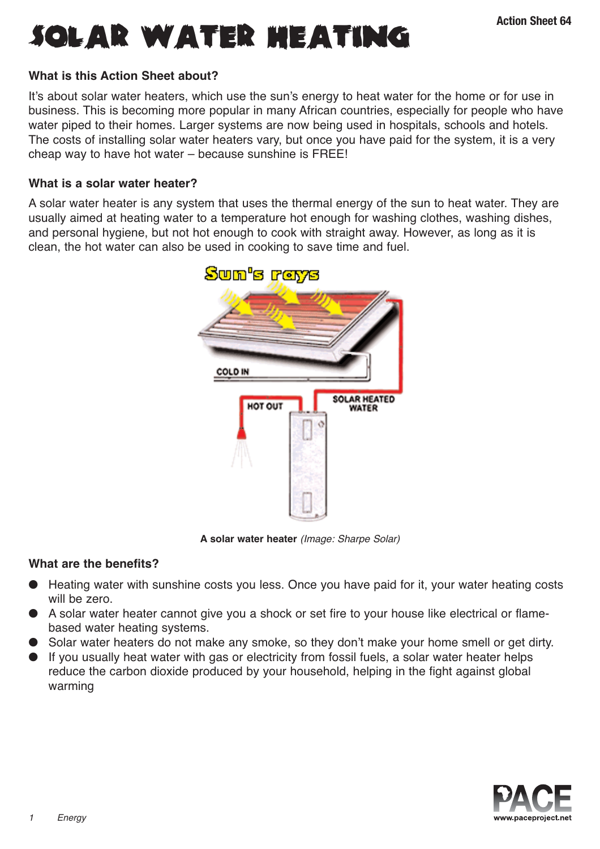

### **What is this Action Sheet about?**

It's about solar water heaters, which use the sun's energy to heat water for the home or for use in business. This is becoming more popular in many African countries, especially for people who have water piped to their homes. Larger systems are now being used in hospitals, schools and hotels. The costs of installing solar water heaters vary, but once you have paid for the system, it is a very cheap way to have hot water – because sunshine is FREE!

### **What is a solar water heater?**

A solar water heater is any system that uses the thermal energy of the sun to heat water. They are usually aimed at heating water to a temperature hot enough for washing clothes, washing dishes, and personal hygiene, but not hot enough to cook with straight away. However, as long as it is clean, the hot water can also be used in cooking to save time and fuel.



**A solar water heater** (Image: Sharpe Solar)

### **What are the benefits?**

- Heating water with sunshine costs you less. Once you have paid for it, your water heating costs will be zero.
- A solar water heater cannot give you a shock or set fire to your house like electrical or flamebased water heating systems.
- Solar water heaters do not make any smoke, so they don't make your home smell or get dirty.
- If you usually heat water with gas or electricity from fossil fuels, a solar water heater helps reduce the carbon dioxide produced by your household, helping in the fight against global warming

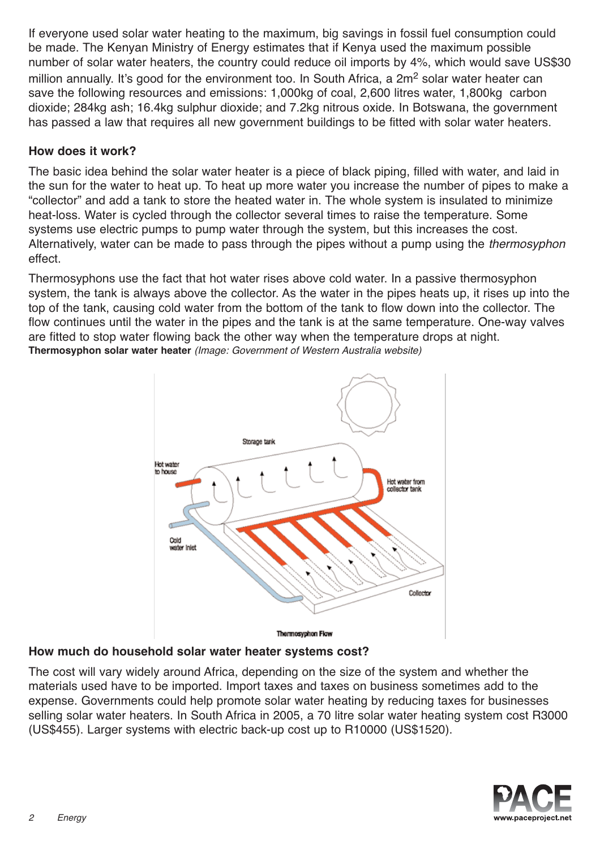If everyone used solar water heating to the maximum, big savings in fossil fuel consumption could be made. The Kenyan Ministry of Energy estimates that if Kenya used the maximum possible number of solar water heaters, the country could reduce oil imports by 4%, which would save US\$30 million annually. It's good for the environment too. In South Africa, a 2m<sup>2</sup> solar water heater can save the following resources and emissions: 1,000kg of coal, 2,600 litres water, 1,800kg carbon dioxide; 284kg ash; 16.4kg sulphur dioxide; and 7.2kg nitrous oxide. In Botswana, the government has passed a law that requires all new government buildings to be fitted with solar water heaters.

# **How does it work?**

The basic idea behind the solar water heater is a piece of black piping, filled with water, and laid in the sun for the water to heat up. To heat up more water you increase the number of pipes to make a "collector" and add a tank to store the heated water in. The whole system is insulated to minimize heat-loss. Water is cycled through the collector several times to raise the temperature. Some systems use electric pumps to pump water through the system, but this increases the cost. Alternatively, water can be made to pass through the pipes without a pump using the thermosyphon effect.

Thermosyphons use the fact that hot water rises above cold water. In a passive thermosyphon system, the tank is always above the collector. As the water in the pipes heats up, it rises up into the top of the tank, causing cold water from the bottom of the tank to flow down into the collector. The flow continues until the water in the pipes and the tank is at the same temperature. One-way valves are fitted to stop water flowing back the other way when the temperature drops at night. **Thermosyphon solar water heater** (Image: Government of Western Australia website)



# **How much do household solar water heater systems cost?**

The cost will vary widely around Africa, depending on the size of the system and whether the materials used have to be imported. Import taxes and taxes on business sometimes add to the expense. Governments could help promote solar water heating by reducing taxes for businesses selling solar water heaters. In South Africa in 2005, a 70 litre solar water heating system cost R3000 (US\$455). Larger systems with electric back-up cost up to R10000 (US\$1520).